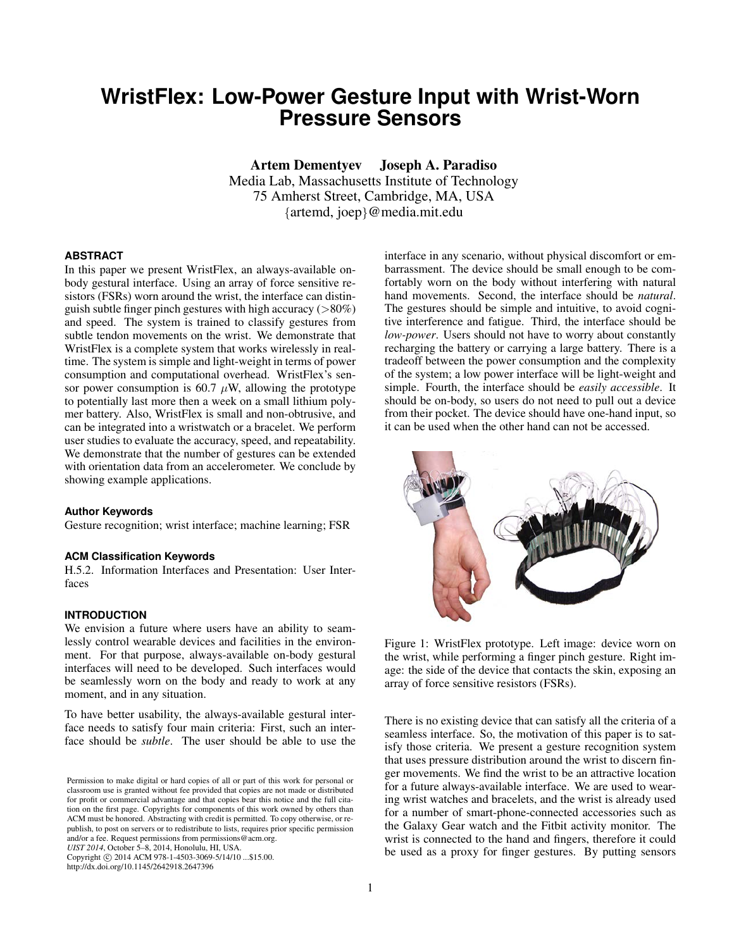# **WristFlex: Low-Power Gesture Input with Wrist-Worn Pressure Sensors**

Artem Dementyev Joseph A. Paradiso

Media Lab, Massachusetts Institute of Technology 75 Amherst Street, Cambridge, MA, USA *{*artemd, joep*}*@media.mit.edu

### **ABSTRACT**

In this paper we present WristFlex, an always-available onbody gestural interface. Using an array of force sensitive resistors (FSRs) worn around the wrist, the interface can distinguish subtle finger pinch gestures with high accuracy (*>*80%) and speed. The system is trained to classify gestures from subtle tendon movements on the wrist. We demonstrate that WristFlex is a complete system that works wirelessly in realtime. The system is simple and light-weight in terms of power consumption and computational overhead. WristFlex's sensor power consumption is 60.7  $\mu$ W, allowing the prototype to potentially last more then a week on a small lithium polymer battery. Also, WristFlex is small and non-obtrusive, and can be integrated into a wristwatch or a bracelet. We perform user studies to evaluate the accuracy, speed, and repeatability. We demonstrate that the number of gestures can be extended with orientation data from an accelerometer. We conclude by showing example applications.

#### **Author Keywords**

Gesture recognition; wrist interface; machine learning; FSR

### **ACM Classification Keywords**

H.5.2. Information Interfaces and Presentation: User Interfaces

# **INTRODUCTION**

We envision a future where users have an ability to seamlessly control wearable devices and facilities in the environment. For that purpose, always-available on-body gestural interfaces will need to be developed. Such interfaces would be seamlessly worn on the body and ready to work at any moment, and in any situation.

To have better usability, the always-available gestural interface needs to satisfy four main criteria: First, such an interface should be *subtle*. The user should be able to use the

*UIST 2014*, October 5–8, 2014, Honolulu, HI, USA.

Copyright © 2014 ACM 978-1-4503-3069-5/14/10 ... \$15.00. http://dx.doi.org/10.1145/2642918.2647396

interface in any scenario, without physical discomfort or embarrassment. The device should be small enough to be comfortably worn on the body without interfering with natural hand movements. Second, the interface should be *natural*. The gestures should be simple and intuitive, to avoid cognitive interference and fatigue. Third, the interface should be *low-power*. Users should not have to worry about constantly recharging the battery or carrying a large battery. There is a tradeoff between the power consumption and the complexity of the system; a low power interface will be light-weight and simple. Fourth, the interface should be *easily accessible*. It should be on-body, so users do not need to pull out a device from their pocket. The device should have one-hand input, so it can be used when the other hand can not be accessed.



Figure 1: WristFlex prototype. Left image: device worn on the wrist, while performing a finger pinch gesture. Right image: the side of the device that contacts the skin, exposing an array of force sensitive resistors (FSRs).

There is no existing device that can satisfy all the criteria of a seamless interface. So, the motivation of this paper is to satisfy those criteria. We present a gesture recognition system that uses pressure distribution around the wrist to discern finger movements. We find the wrist to be an attractive location for a future always-available interface. We are used to wearing wrist watches and bracelets, and the wrist is already used for a number of smart-phone-connected accessories such as the Galaxy Gear watch and the Fitbit activity monitor. The wrist is connected to the hand and fingers, therefore it could be used as a proxy for finger gestures. By putting sensors

Permission to make digital or hard copies of all or part of this work for personal or classroom use is granted without fee provided that copies are not made or distributed for profit or commercial advantage and that copies bear this notice and the full citation on the first page. Copyrights for components of this work owned by others than ACM must be honored. Abstracting with credit is permitted. To copy otherwise, or republish, to post on servers or to redistribute to lists, requires prior specific permission and/or a fee. Request permissions from permissions@acm.org.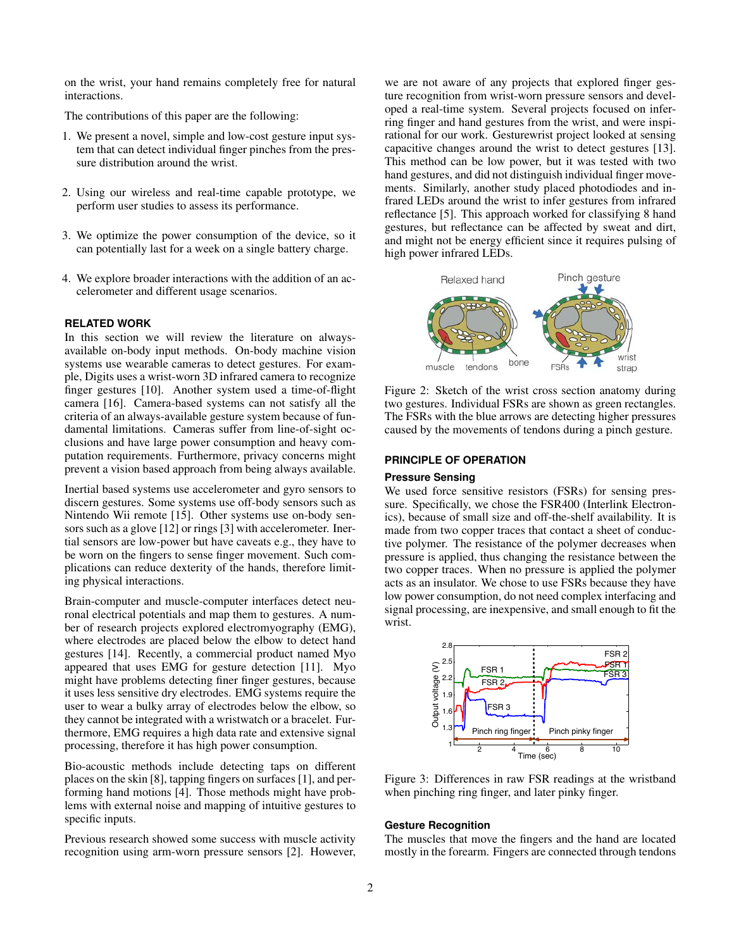on the wrist, your hand remains completely free for natural interactions.

The contributions of this paper are the following:

- 1. We present a novel, simple and low-cost gesture input system that can detect individual finger pinches from the pressure distribution around the wrist.
- 2. Using our wireless and real-time capable prototype, we perform user studies to assess its performance.
- 3. We optimize the power consumption of the device, so it can potentially last for a week on a single battery charge.
- 4. We explore broader interactions with the addition of an accelerometer and different usage scenarios.

# **RELATED WORK**

In this section we will review the literature on alwaysavailable on-body input methods. On-body machine vision systems use wearable cameras to detect gestures. For example, Digits uses a wrist-worn 3D infrared camera to recognize finger gestures [10]. Another system used a time-of-flight camera [16]. Camera-based systems can not satisfy all the criteria of an always-available gesture system because of fundamental limitations. Cameras suffer from line-of-sight occlusions and have large power consumption and heavy computation requirements. Furthermore, privacy concerns might prevent a vision based approach from being always available.

Inertial based systems use accelerometer and gyro sensors to discern gestures. Some systems use off-body sensors such as Nintendo Wii remote [15]. Other systems use on-body sensors such as a glove [12] or rings [3] with accelerometer. Inertial sensors are low-power but have caveats e.g., they have to be worn on the fingers to sense finger movement. Such complications can reduce dexterity of the hands, therefore limiting physical interactions.

Brain-computer and muscle-computer interfaces detect neuronal electrical potentials and map them to gestures. A number of research projects explored electromyography (EMG), where electrodes are placed below the elbow to detect hand gestures [14]. Recently, a commercial product named Myo appeared that uses EMG for gesture detection [11]. Myo might have problems detecting finer finger gestures, because it uses less sensitive dry electrodes. EMG systems require the user to wear a bulky array of electrodes below the elbow, so they cannot be integrated with a wristwatch or a bracelet. Furthermore, EMG requires a high data rate and extensive signal processing, therefore it has high power consumption.

Bio-acoustic methods include detecting taps on different places on the skin [8], tapping fingers on surfaces [1], and performing hand motions [4]. Those methods might have problems with external noise and mapping of intuitive gestures to specific inputs.

Previous research showed some success with muscle activity recognition using arm-worn pressure sensors [2]. However, we are not aware of any projects that explored finger gesture recognition from wrist-worn pressure sensors and developed a real-time system. Several projects focused on inferring finger and hand gestures from the wrist, and were inspirational for our work. Gesturewrist project looked at sensing capacitive changes around the wrist to detect gestures [13]. This method can be low power, but it was tested with two hand gestures, and did not distinguish individual finger movements. Similarly, another study placed photodiodes and infrared LEDs around the wrist to infer gestures from infrared reflectance [5]. This approach worked for classifying 8 hand gestures, but reflectance can be affected by sweat and dirt, and might not be energy efficient since it requires pulsing of high power infrared LEDs.



Figure 2: Sketch of the wrist cross section anatomy during two gestures. Individual FSRs are shown as green rectangles. The FSRs with the blue arrows are detecting higher pressures caused by the movements of tendons during a pinch gesture.

#### **PRINCIPLE OF OPERATION**

# **Pressure Sensing**

We used force sensitive resistors (FSRs) for sensing pressure. Specifically, we chose the FSR400 (Interlink Electronics), because of small size and off-the-shelf availability. It is made from two copper traces that contact a sheet of conductive polymer. The resistance of the polymer decreases when pressure is applied, thus changing the resistance between the two copper traces. When no pressure is applied the polymer acts as an insulator. We chose to use FSRs because they have low power consumption, do not need complex interfacing and signal processing, are inexpensive, and small enough to fit the wrist.



Figure 3: Differences in raw FSR readings at the wristband when pinching ring finger, and later pinky finger.

#### **Gesture Recognition**

The muscles that move the fingers and the hand are located mostly in the forearm. Fingers are connected through tendons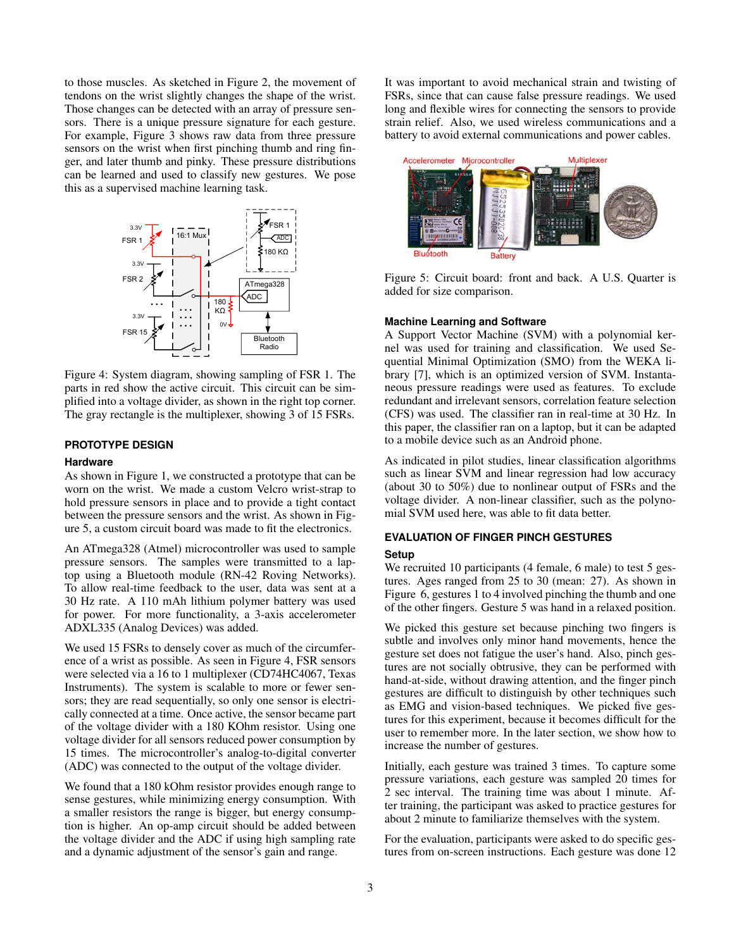to those muscles. As sketched in Figure 2, the movement of tendons on the wrist slightly changes the shape of the wrist. Those changes can be detected with an array of pressure sensors. There is a unique pressure signature for each gesture. For example, Figure 3 shows raw data from three pressure sensors on the wrist when first pinching thumb and ring finger, and later thumb and pinky. These pressure distributions can be learned and used to classify new gestures. We pose this as a supervised machine learning task.



Figure 4: System diagram, showing sampling of FSR 1. The parts in red show the active circuit. This circuit can be simplified into a voltage divider, as shown in the right top corner. The gray rectangle is the multiplexer, showing 3 of 15 FSRs.

# **PROTOTYPE DESIGN**

## **Hardware**

As shown in Figure 1, we constructed a prototype that can be worn on the wrist. We made a custom Velcro wrist-strap to hold pressure sensors in place and to provide a tight contact between the pressure sensors and the wrist. As shown in Figure 5, a custom circuit board was made to fit the electronics.

An ATmega328 (Atmel) microcontroller was used to sample pressure sensors. The samples were transmitted to a laptop using a Bluetooth module (RN-42 Roving Networks). To allow real-time feedback to the user, data was sent at a 30 Hz rate. A 110 mAh lithium polymer battery was used for power. For more functionality, a 3-axis accelerometer ADXL335 (Analog Devices) was added.

We used 15 FSRs to densely cover as much of the circumference of a wrist as possible. As seen in Figure 4, FSR sensors were selected via a 16 to 1 multiplexer (CD74HC4067, Texas Instruments). The system is scalable to more or fewer sensors; they are read sequentially, so only one sensor is electrically connected at a time. Once active, the sensor became part of the voltage divider with a 180 KOhm resistor. Using one voltage divider for all sensors reduced power consumption by 15 times. The microcontroller's analog-to-digital converter (ADC) was connected to the output of the voltage divider.

We found that a 180 kOhm resistor provides enough range to sense gestures, while minimizing energy consumption. With a smaller resistors the range is bigger, but energy consumption is higher. An op-amp circuit should be added between the voltage divider and the ADC if using high sampling rate and a dynamic adjustment of the sensor's gain and range.

It was important to avoid mechanical strain and twisting of FSRs, since that can cause false pressure readings. We used long and flexible wires for connecting the sensors to provide strain relief. Also, we used wireless communications and a battery to avoid external communications and power cables.



Figure 5: Circuit board: front and back. A U.S. Quarter is added for size comparison.

### **Machine Learning and Software**

A Support Vector Machine (SVM) with a polynomial kernel was used for training and classification. We used Sequential Minimal Optimization (SMO) from the WEKA library [7], which is an optimized version of SVM. Instantaneous pressure readings were used as features. To exclude redundant and irrelevant sensors, correlation feature selection (CFS) was used. The classifier ran in real-time at 30 Hz. In this paper, the classifier ran on a laptop, but it can be adapted to a mobile device such as an Android phone.

As indicated in pilot studies, linear classification algorithms such as linear SVM and linear regression had low accuracy (about 30 to 50%) due to nonlinear output of FSRs and the voltage divider. A non-linear classifier, such as the polynomial SVM used here, was able to fit data better.

## **EVALUATION OF FINGER PINCH GESTURES**

#### **Setup**

We recruited 10 participants (4 female, 6 male) to test 5 gestures. Ages ranged from 25 to 30 (mean: 27). As shown in Figure 6, gestures 1 to 4 involved pinching the thumb and one of the other fingers. Gesture 5 was hand in a relaxed position.

We picked this gesture set because pinching two fingers is subtle and involves only minor hand movements, hence the gesture set does not fatigue the user's hand. Also, pinch gestures are not socially obtrusive, they can be performed with hand-at-side, without drawing attention, and the finger pinch gestures are difficult to distinguish by other techniques such as EMG and vision-based techniques. We picked five gestures for this experiment, because it becomes difficult for the user to remember more. In the later section, we show how to increase the number of gestures.

Initially, each gesture was trained 3 times. To capture some pressure variations, each gesture was sampled 20 times for 2 sec interval. The training time was about 1 minute. After training, the participant was asked to practice gestures for about 2 minute to familiarize themselves with the system.

For the evaluation, participants were asked to do specific gestures from on-screen instructions. Each gesture was done 12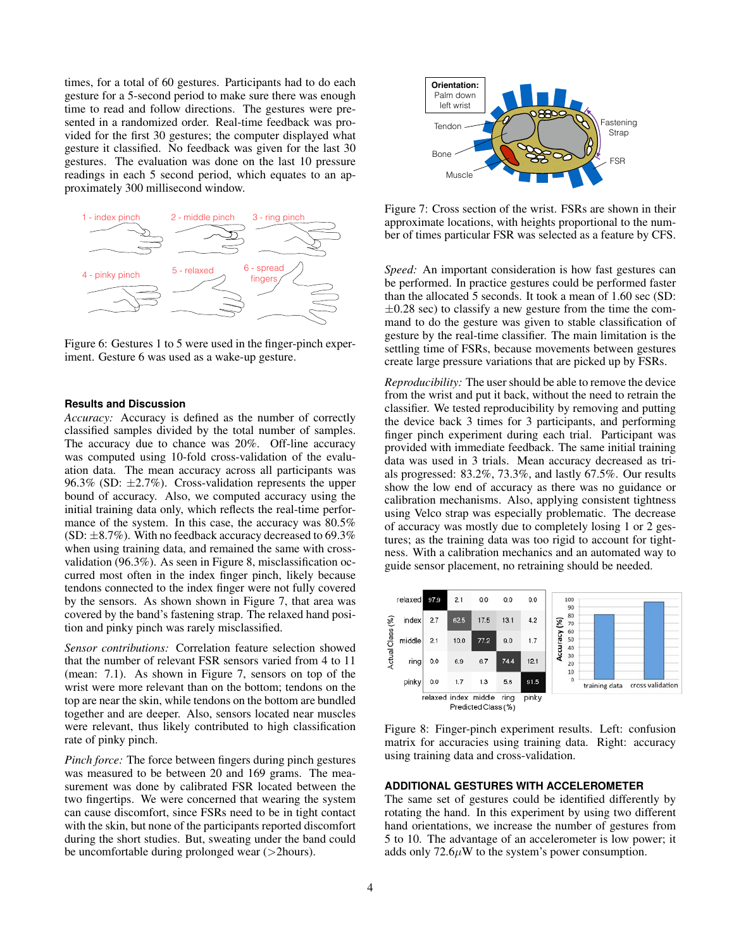times, for a total of 60 gestures. Participants had to do each gesture for a 5-second period to make sure there was enough time to read and follow directions. The gestures were presented in a randomized order. Real-time feedback was provided for the first 30 gestures; the computer displayed what gesture it classified. No feedback was given for the last 30 gestures. The evaluation was done on the last 10 pressure readings in each 5 second period, which equates to an approximately 300 millisecond window.



Figure 6: Gestures 1 to 5 were used in the finger-pinch experiment. Gesture 6 was used as a wake-up gesture.

#### **Results and Discussion**

*Accuracy:* Accuracy is defined as the number of correctly classified samples divided by the total number of samples. The accuracy due to chance was 20%. Off-line accuracy was computed using 10-fold cross-validation of the evaluation data. The mean accuracy across all participants was 96.3% (SD: *±*2.7%). Cross-validation represents the upper bound of accuracy. Also, we computed accuracy using the initial training data only, which reflects the real-time performance of the system. In this case, the accuracy was 80.5% (SD: *±*8.7%). With no feedback accuracy decreased to 69.3% when using training data, and remained the same with crossvalidation (96.3%). As seen in Figure 8, misclassification occurred most often in the index finger pinch, likely because tendons connected to the index finger were not fully covered by the sensors. As shown shown in Figure 7, that area was covered by the band's fastening strap. The relaxed hand position and pinky pinch was rarely misclassified.

*Sensor contributions:* Correlation feature selection showed that the number of relevant FSR sensors varied from 4 to 11 (mean: 7.1). As shown in Figure 7, sensors on top of the wrist were more relevant than on the bottom; tendons on the top are near the skin, while tendons on the bottom are bundled together and are deeper. Also, sensors located near muscles were relevant, thus likely contributed to high classification rate of pinky pinch.

*Pinch force:* The force between fingers during pinch gestures was measured to be between 20 and 169 grams. The measurement was done by calibrated FSR located between the two fingertips. We were concerned that wearing the system can cause discomfort, since FSRs need to be in tight contact with the skin, but none of the participants reported discomfort during the short studies. But, sweating under the band could be uncomfortable during prolonged wear (*>*2hours).



10 ber of times particular FSR was selected as a feature by CFS. Figure 7: Cross section of the wrist. FSRs are shown in their approximate locations, with heights proportional to the num-

*Speed:* An important consideration is how fast gestures can be performed. In practice gestures could be performed faster than the allocated 5 seconds. It took a mean of 1.60 sec (SD: *±*0.28 sec) to classify a new gesture from the time the command to do the gesture was given to stable classification of gesture by the real-time classifier. The main limitation is the settling time of FSRs, because movements between gestures create large pressure variations that are picked up by FSRs.

*Reproducibility:* The user should be able to remove the device from the wrist and put it back, without the need to retrain the classifier. We tested reproducibility by removing and putting the device back 3 times for 3 participants, and performing finger pinch experiment during each trial. Participant was provided with immediate feedback. The same initial training data was used in 3 trials. Mean accuracy decreased as trials progressed: 83.2%, 73.3%, and lastly 67.5%. Our results show the low end of accuracy as there was no guidance or calibration mechanisms. Also, applying consistent tightness using Velco strap was especially problematic. The decrease of accuracy was mostly due to completely losing 1 or 2 gestures; as the training data was too rigid to account for tightness. With a calibration mechanics and an automated way to guide sensor placement, no retraining should be needed.



Figure 8: Finger-pinch experiment results. Left: confusion matrix for accuracies using training data. Right: accuracy using training data and cross-validation.

# **ADDITIONAL GESTURES WITH ACCELEROMETER**

The same set of gestures could be identified differently by rotating the hand. In this experiment by using two different hand orientations, we increase the number of gestures from 5 to 10. The advantage of an accelerometer is low power; it adds only  $72.6\mu$ W to the system's power consumption.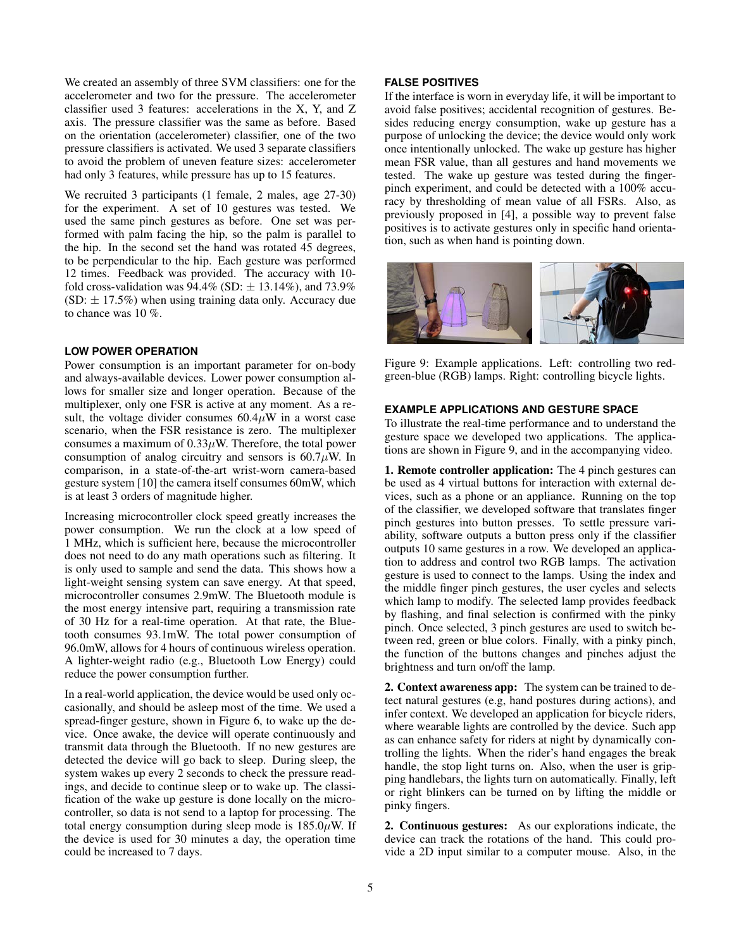We created an assembly of three SVM classifiers: one for the accelerometer and two for the pressure. The accelerometer classifier used 3 features: accelerations in the X, Y, and Z axis. The pressure classifier was the same as before. Based on the orientation (accelerometer) classifier, one of the two pressure classifiers is activated. We used 3 separate classifiers to avoid the problem of uneven feature sizes: accelerometer had only 3 features, while pressure has up to 15 features.

We recruited 3 participants (1 female, 2 males, age 27-30) for the experiment. A set of 10 gestures was tested. We used the same pinch gestures as before. One set was performed with palm facing the hip, so the palm is parallel to the hip. In the second set the hand was rotated 45 degrees, to be perpendicular to the hip. Each gesture was performed 12 times. Feedback was provided. The accuracy with 10 fold cross-validation was 94.4% (SD: *±* 13.14%), and 73.9%  $(SD: \pm 17.5\%)$  when using training data only. Accuracy due to chance was 10 %.

#### **LOW POWER OPERATION**

Power consumption is an important parameter for on-body and always-available devices. Lower power consumption allows for smaller size and longer operation. Because of the multiplexer, only one FSR is active at any moment. As a result, the voltage divider consumes  $60.4\mu$ W in a worst case scenario, when the FSR resistance is zero. The multiplexer consumes a maximum of  $0.33\mu$ W. Therefore, the total power consumption of analog circuitry and sensors is  $60.7\mu$ W. In comparison, in a state-of-the-art wrist-worn camera-based gesture system [10] the camera itself consumes 60mW, which is at least 3 orders of magnitude higher.

Increasing microcontroller clock speed greatly increases the power consumption. We run the clock at a low speed of 1 MHz, which is sufficient here, because the microcontroller does not need to do any math operations such as filtering. It is only used to sample and send the data. This shows how a light-weight sensing system can save energy. At that speed, microcontroller consumes 2.9mW. The Bluetooth module is the most energy intensive part, requiring a transmission rate of 30 Hz for a real-time operation. At that rate, the Bluetooth consumes 93.1mW. The total power consumption of 96.0mW, allows for 4 hours of continuous wireless operation. A lighter-weight radio (e.g., Bluetooth Low Energy) could reduce the power consumption further.

In a real-world application, the device would be used only occasionally, and should be asleep most of the time. We used a spread-finger gesture, shown in Figure 6, to wake up the device. Once awake, the device will operate continuously and transmit data through the Bluetooth. If no new gestures are detected the device will go back to sleep. During sleep, the system wakes up every 2 seconds to check the pressure readings, and decide to continue sleep or to wake up. The classification of the wake up gesture is done locally on the microcontroller, so data is not send to a laptop for processing. The total energy consumption during sleep mode is  $185.0\mu$ W. If the device is used for 30 minutes a day, the operation time could be increased to 7 days.

## **FALSE POSITIVES**

If the interface is worn in everyday life, it will be important to avoid false positives; accidental recognition of gestures. Besides reducing energy consumption, wake up gesture has a purpose of unlocking the device; the device would only work once intentionally unlocked. The wake up gesture has higher mean FSR value, than all gestures and hand movements we tested. The wake up gesture was tested during the fingerpinch experiment, and could be detected with a 100% accuracy by thresholding of mean value of all FSRs. Also, as previously proposed in [4], a possible way to prevent false positives is to activate gestures only in specific hand orientation, such as when hand is pointing down.



Figure 9: Example applications. Left: controlling two redgreen-blue (RGB) lamps. Right: controlling bicycle lights.

# **EXAMPLE APPLICATIONS AND GESTURE SPACE**

To illustrate the real-time performance and to understand the gesture space we developed two applications. The applications are shown in Figure 9, and in the accompanying video.

1. Remote controller application: The 4 pinch gestures can be used as 4 virtual buttons for interaction with external devices, such as a phone or an appliance. Running on the top of the classifier, we developed software that translates finger pinch gestures into button presses. To settle pressure variability, software outputs a button press only if the classifier outputs 10 same gestures in a row. We developed an application to address and control two RGB lamps. The activation gesture is used to connect to the lamps. Using the index and the middle finger pinch gestures, the user cycles and selects which lamp to modify. The selected lamp provides feedback by flashing, and final selection is confirmed with the pinky pinch. Once selected, 3 pinch gestures are used to switch between red, green or blue colors. Finally, with a pinky pinch, the function of the buttons changes and pinches adjust the brightness and turn on/off the lamp.

2. Context awareness app: The system can be trained to detect natural gestures (e.g, hand postures during actions), and infer context. We developed an application for bicycle riders, where wearable lights are controlled by the device. Such app as can enhance safety for riders at night by dynamically controlling the lights. When the rider's hand engages the break handle, the stop light turns on. Also, when the user is gripping handlebars, the lights turn on automatically. Finally, left or right blinkers can be turned on by lifting the middle or pinky fingers.

2. Continuous gestures: As our explorations indicate, the device can track the rotations of the hand. This could provide a 2D input similar to a computer mouse. Also, in the